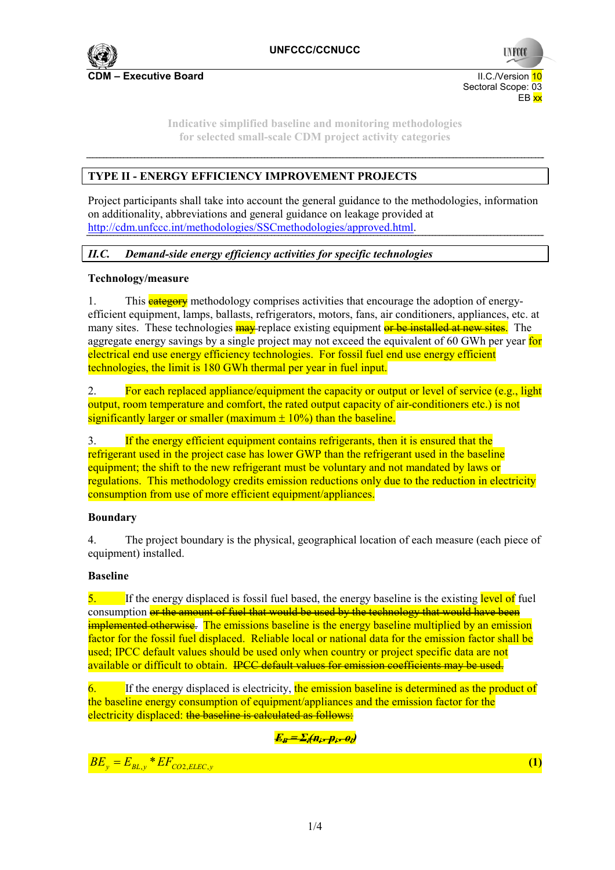

**UNFCCC**  Sectoral Scope: 03 en de la provincia de la provincia de la provincia de la provincia de la provincia de la provincia de la provi

> **Indicative simplified baseline and monitoring methodologies for selected small-scale CDM project activity categories**

## **TYPE II - ENERGY EFFICIENCY IMPROVEMENT PROJECTS**

Project participants shall take into account the general guidance to the methodologies, information on additionality, abbreviations and general guidance on leakage provided at http://cdm.unfccc.int/methodologies/SSCmethodologies/approved.html.

## *II.C. Demand-side energy efficiency activities for specific technologies*

## **Technology/measure**

1. This **category** methodology comprises activities that encourage the adoption of energyefficient equipment, lamps, ballasts, refrigerators, motors, fans, air conditioners, appliances, etc. at many sites. These technologies **may** replace existing equipment or be installed at new sites. The aggregate energy savings by a single project may not exceed the equivalent of 60 GWh per year for electrical end use energy efficiency technologies. For fossil fuel end use energy efficient technologies, the limit is 180 GWh thermal per year in fuel input.

2. For each replaced appliance/equipment the capacity or output or level of service (e.g., light output, room temperature and comfort, the rated output capacity of air-conditioners etc.) is not significantly larger or smaller (maximum  $\pm$  10%) than the baseline.

3. If the energy efficient equipment contains refrigerants, then it is ensured that the refrigerant used in the project case has lower GWP than the refrigerant used in the baseline equipment; the shift to the new refrigerant must be voluntary and not mandated by laws or regulations. This methodology credits emission reductions only due to the reduction in electricity consumption from use of more efficient equipment/appliances.

## **Boundary**

4. The project boundary is the physical, geographical location of each measure (each piece of equipment) installed.

## **Baseline**

5. If the energy displaced is fossil fuel based, the energy baseline is the existing level of fuel consumption or the amount of fuel that would be used by the technology that would have been implemented otherwise. The emissions baseline is the energy baseline multiplied by an emission factor for the fossil fuel displaced. Reliable local or national data for the emission factor shall be used; IPCC default values should be used only when country or project specific data are not available or difficult to obtain. IPCC default values for emission coefficients may be used.

6. If the energy displaced is electricity, the emission baseline is determined as the product of the baseline energy consumption of equipment/appliances and the emission factor for the electricity displaced: the baseline is calculated as follows:

## $E_B = \sum_i (H_i - p_i - \theta_i)$

 $BE_y = E_{BL,y} * EF_{CO2, ELLC, y}$  (1)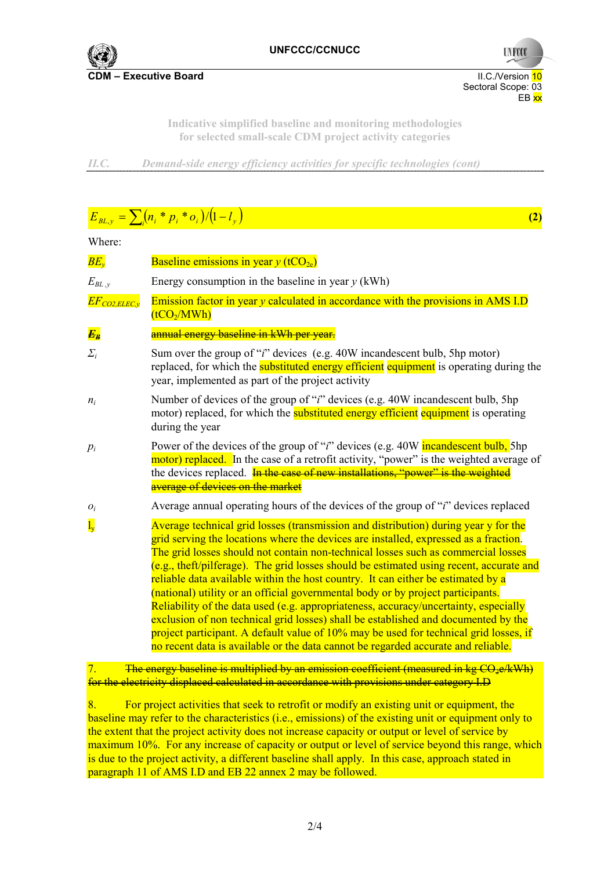

Sectoral Scope: 03<br>EB xx en de la provincia de la provincia de la provincia de la provincia de la provincia de la provincia de la provi

**UNFCCC** 

**Indicative simplified baseline and monitoring methodologies for selected small-scale CDM project activity categories** 

*II.C. Demand-side energy efficiency activities for specific technologies (cont)*

# $E_{BL,y} = \sum_{i} (n_i * p_i * o_i) / (1 - l_y)$  (2)

#### Where:

| $\overline{BE_{v}}$          | Baseline emissions in year $y$ (tCO <sub>2e</sub> )                                                                                                                                                                                                                                                                                                                                                                                                                                                                                                                                                                                                                                                                                                                                                                                                                                                |
|------------------------------|----------------------------------------------------------------------------------------------------------------------------------------------------------------------------------------------------------------------------------------------------------------------------------------------------------------------------------------------------------------------------------------------------------------------------------------------------------------------------------------------------------------------------------------------------------------------------------------------------------------------------------------------------------------------------------------------------------------------------------------------------------------------------------------------------------------------------------------------------------------------------------------------------|
| $E_{BL \, , \nu}$            | Energy consumption in the baseline in year $y$ (kWh)                                                                                                                                                                                                                                                                                                                                                                                                                                                                                                                                                                                                                                                                                                                                                                                                                                               |
| $\overline{EF}_{CO2,ELEC,y}$ | Emission factor in year $y$ calculated in accordance with the provisions in AMS I.D<br>(tCO <sub>2</sub> /MWh)                                                                                                                                                                                                                                                                                                                                                                                                                                                                                                                                                                                                                                                                                                                                                                                     |
| $\overline{E_B}$             | annual energy baseline in kWh per year.                                                                                                                                                                                                                                                                                                                                                                                                                                                                                                                                                                                                                                                                                                                                                                                                                                                            |
| $\sum_i$                     | Sum over the group of " <i>i</i> " devices (e.g. 40W incandescent bulb, 5hp motor)<br>replaced, for which the <b>substituted energy efficient</b> equipment is operating during the<br>year, implemented as part of the project activity                                                                                                                                                                                                                                                                                                                                                                                                                                                                                                                                                                                                                                                           |
| $n_i$                        | Number of devices of the group of " <i>i</i> " devices (e.g. 40W incandescent bulb, 5hp<br>motor) replaced, for which the <b>substituted energy efficient</b> equipment is operating<br>during the year                                                                                                                                                                                                                                                                                                                                                                                                                                                                                                                                                                                                                                                                                            |
| $p_i$                        | Power of the devices of the group of " <i>i</i> " devices (e.g. 40W <b>incandescent bulb</b> , 5hp<br>motor) replaced. In the case of a retrofit activity, "power" is the weighted average of<br>the devices replaced. In the case of new installations, "power" is the weighted<br>average of devices on the market                                                                                                                                                                                                                                                                                                                                                                                                                                                                                                                                                                               |
| $\overline{o_i}$             | Average annual operating hours of the devices of the group of "i" devices replaced                                                                                                                                                                                                                                                                                                                                                                                                                                                                                                                                                                                                                                                                                                                                                                                                                 |
| $\overline{l_y}$             | Average technical grid losses (transmission and distribution) during year y for the<br>grid serving the locations where the devices are installed, expressed as a fraction.<br>The grid losses should not contain non-technical losses such as commercial losses<br>$(e.g., the ft/pilferage)$ . The grid losses should be estimated using recent, accurate and<br>reliable data available within the host country. It can either be estimated by a<br>(national) utility or an official governmental body or by project participants.<br>Reliability of the data used (e.g. appropriateness, accuracy/uncertainty, especially<br>exclusion of non technical grid losses) shall be established and documented by the<br>project participant. A default value of 10% may be used for technical grid losses, if<br>no recent data is available or the data cannot be regarded accurate and reliable. |
|                              |                                                                                                                                                                                                                                                                                                                                                                                                                                                                                                                                                                                                                                                                                                                                                                                                                                                                                                    |

7. The energy baseline is multiplied by an emission coefficient (measured in kg CO<sub>2</sub>e/kWh) for the electricity displaced calculated in accordance with provisions under category I.D

8. For project activities that seek to retrofit or modify an existing unit or equipment, the baseline may refer to the characteristics (i.e., emissions) of the existing unit or equipment only to the extent that the project activity does not increase capacity or output or level of service by maximum 10%. For any increase of capacity or output or level of service beyond this range, which is due to the project activity, a different baseline shall apply. In this case, approach stated in paragraph 11 of AMS I.D and EB 22 annex 2 may be followed.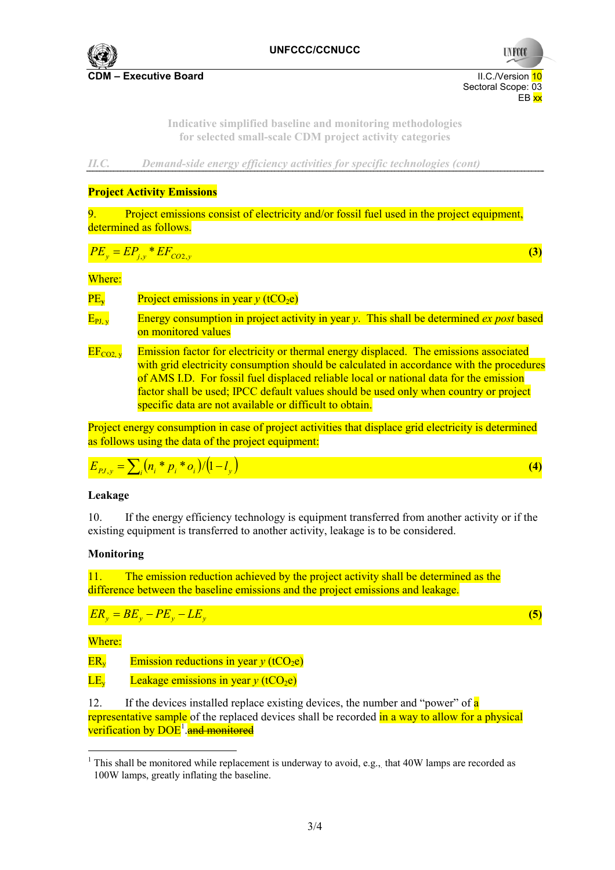

 Sectoral Scope: 03 en de la provincia de la provincia de la provincia de la provincia de la provincia de la provincia de la provi

**UNFCC** 

**Indicative simplified baseline and monitoring methodologies for selected small-scale CDM project activity categories** 

*II.C. Demand-side energy efficiency activities for specific technologies (cont)*

## **Project Activity Emissions**

Project emissions consist of electricity and/or fossil fuel used in the project equipment. determined as follows.

$$
PE_y = EP_{j,y} * EF_{CO2,y} \tag{3}
$$

Where:

 $PE<sub>v</sub>$  Project emissions in year *y* (tCO<sub>2</sub>e)

- $E_{PI, v}$  Energy consumption in project activity in year *y*. This shall be determined *ex post* based on monitored values
- $EF_{CO2, v}$  Emission factor for electricity or thermal energy displaced. The emissions associated with grid electricity consumption should be calculated in accordance with the procedures of AMS I.D. For fossil fuel displaced reliable local or national data for the emission factor shall be used; IPCC default values should be used only when country or project specific data are not available or difficult to obtain.

Project energy consumption in case of project activities that displace grid electricity is determined as follows using the data of the project equipment:

$$
E_{p_{J,y}} = \sum_{i} (n_i * p_i * o_i) / (1 - l_y)
$$
 (4)

#### **Leakage**

10. If the energy efficiency technology is equipment transferred from another activity or if the existing equipment is transferred to another activity, leakage is to be considered.

#### **Monitoring**

11. The emission reduction achieved by the project activity shall be determined as the difference between the baseline emissions and the project emissions and leakage.

$$
ER_y = BE_y - PE_y - LE_y
$$

Where:

 $\overline{a}$ 

 $ER<sub>v</sub>$  Emission reductions in year  $\gamma$  (tCO<sub>2</sub>e)

LE<sub>y</sub> Leakage emissions in year  $\gamma$  (tCO<sub>2</sub>e)

12. If the devices installed replace existing devices, the number and "power" of a representative sample of the replaced devices shall be recorded in a way to allow for a physical verification by DOE<sup>1</sup> and monitored

*<sup>y</sup>* **(5)**

<sup>&</sup>lt;sup>1</sup> This shall be monitored while replacement is underway to avoid, e.g., that  $40W$  lamps are recorded as 100W lamps, greatly inflating the baseline.